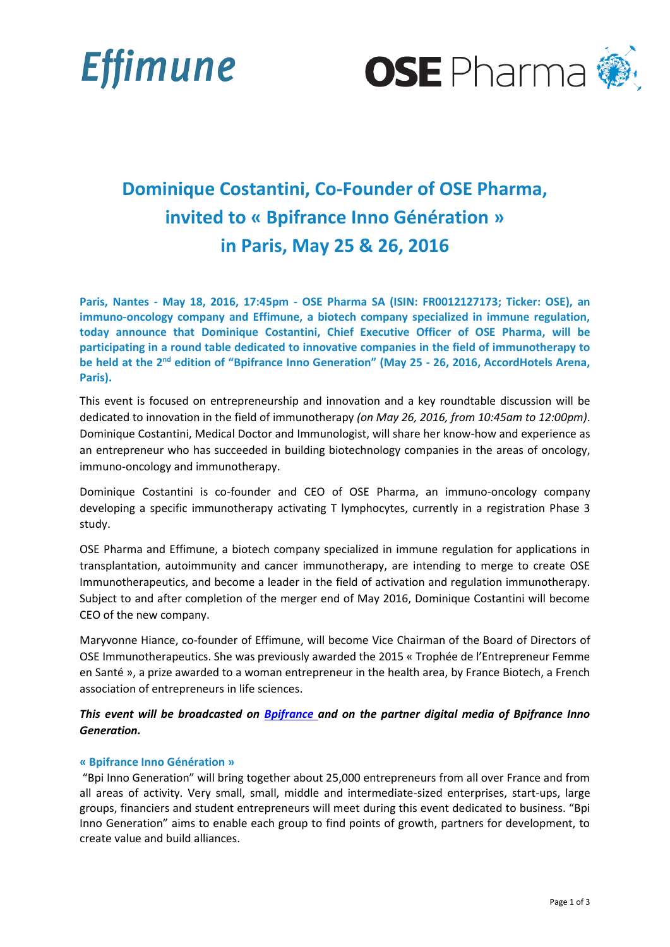



# **Dominique Costantini, Co-Founder of OSE Pharma, invited to « Bpifrance Inno Génération » in Paris, May 25 & 26, 2016**

**Paris, Nantes - May 18, 2016, 17:45pm - OSE Pharma SA (ISIN: FR0012127173; Ticker: OSE), an immuno-oncology company and Effimune, a biotech company specialized in immune regulation, today announce that Dominique Costantini, Chief Executive Officer of OSE Pharma, will be participating in a round table dedicated to innovative companies in the field of immunotherapy to be held at the 2nd edition of "Bpifrance Inno Generation" (May 25 - 26, 2016, AccordHotels Arena, Paris).**

This event is focused on entrepreneurship and innovation and a key roundtable discussion will be dedicated to innovation in the field of immunotherapy *(on May 26, 2016, from 10:45am to 12:00pm)*. Dominique Costantini, Medical Doctor and Immunologist, will share her know-how and experience as an entrepreneur who has succeeded in building biotechnology companies in the areas of oncology, immuno-oncology and immunotherapy.

Dominique Costantini is co-founder and CEO of OSE Pharma, an immuno-oncology company developing a specific immunotherapy activating T lymphocytes, currently in a registration Phase 3 study.

OSE Pharma and Effimune, a biotech company specialized in immune regulation for applications in transplantation, autoimmunity and cancer immunotherapy, are intending to merge to create OSE Immunotherapeutics, and become a leader in the field of activation and regulation immunotherapy. Subject to and after completion of the merger end of May 2016, Dominique Costantini will become CEO of the new company.

Maryvonne Hiance, co-founder of Effimune, will become Vice Chairman of the Board of Directors of OSE Immunotherapeutics. She was previously awarded the 2015 « Trophée de l'Entrepreneur Femme en Santé », a prize awarded to a woman entrepreneur in the health area, by France Biotech, a French association of entrepreneurs in life sciences.

*This event will be broadcasted on [Bpifrance a](http://www.bpifrance.fr/)nd on the partner digital media of Bpifrance Inno Generation.*

# **« Bpifrance Inno Génération »**

"Bpi Inno Generation" will bring together about 25,000 entrepreneurs from all over France and from all areas of activity. Very small, small, middle and intermediate-sized enterprises, start-ups, large groups, financiers and student entrepreneurs will meet during this event dedicated to business. "Bpi Inno Generation" aims to enable each group to find points of growth, partners for development, to create value and build alliances.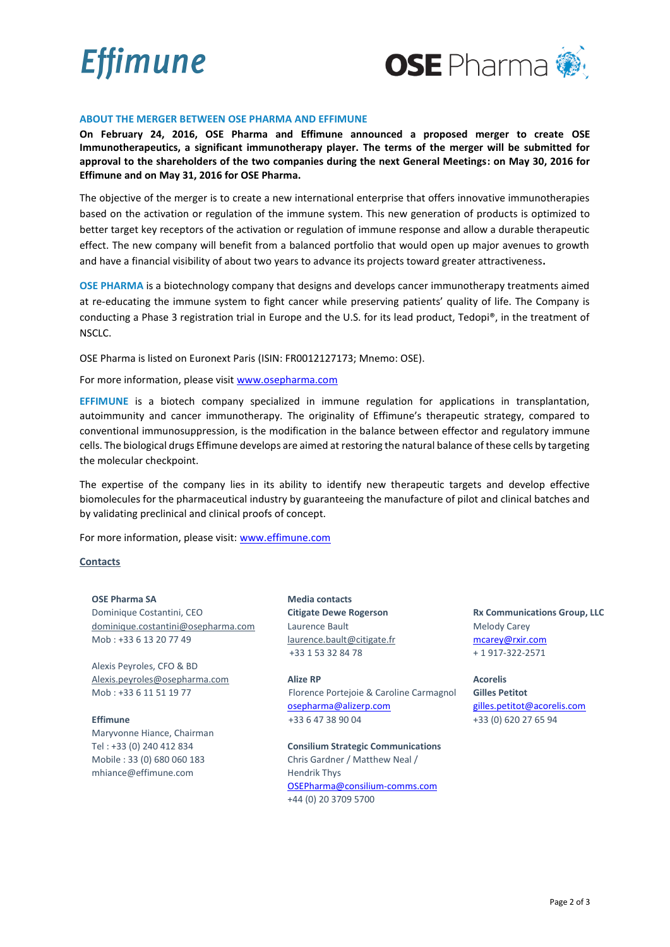



## **ABOUT THE MERGER BETWEEN OSE PHARMA AND EFFIMUNE**

**On February 24, 2016, OSE Pharma and Effimune announced a proposed merger to create OSE Immunotherapeutics, a significant immunotherapy player. The terms of the merger will be submitted for approval to the shareholders of the two companies during the next General Meetings: on May 30, 2016 for Effimune and on May 31, 2016 for OSE Pharma.**

The objective of the merger is to create a new international enterprise that offers innovative immunotherapies based on the activation or regulation of the immune system. This new generation of products is optimized to better target key receptors of the activation or regulation of immune response and allow a durable therapeutic effect. The new company will benefit from a balanced portfolio that would open up major avenues to growth and have a financial visibility of about two years to advance its projects toward greater attractiveness**.**

**OSE PHARMA** is a biotechnology company that designs and develops cancer immunotherapy treatments aimed at re-educating the immune system to fight cancer while preserving patients' quality of life. The Company is conducting a Phase 3 registration trial in Europe and the U.S. for its lead product, Tedopi®, in the treatment of NSCLC.

OSE Pharma is listed on Euronext Paris (ISIN: FR0012127173; Mnemo: OSE).

For more information, please visi[t www.osepharma.com](http://www.osepharma.com/)

**EFFIMUNE** is a biotech company specialized in immune regulation for applications in transplantation, autoimmunity and cancer immunotherapy. The originality of Effimune's therapeutic strategy, compared to conventional immunosuppression, is the modification in the balance between effector and regulatory immune cells. The biological drugs Effimune develops are aimed at restoring the natural balance of these cells by targeting the molecular checkpoint.

The expertise of the company lies in its ability to identify new therapeutic targets and develop effective biomolecules for the pharmaceutical industry by guaranteeing the manufacture of pilot and clinical batches and by validating preclinical and clinical proofs of concept.

For more information, please visit: [www.effimune.com](http://www.effimune.com/)

### **Contacts**

**OSE Pharma SA** Dominique Costantini, CEO [dominique.costantini@osepharma.com](mailto:dominique.costantini@osepharma.com) Mob : +33 6 13 20 77 49

Alexis Peyroles, CFO & BD [Alexis.peyroles@osepharma.com](mailto:Alexis.peyroles@osepharma.com) Mob : +33 6 11 51 19 77

**Effimune**  Maryvonne Hiance, Chairman Tel : +33 (0) 240 412 834 Mobile : 33 (0) 680 060 183 mhiance@effimune.com

**Media contacts Citigate Dewe Rogerson**  Laurence Bault [laurence.bault@citigate.fr](mailto:laurence.bault@citigate.fr) +33 1 53 32 84 78

**Alize RP** Florence Portejoie & Caroline Carmagnol [osepharma@alizerp.com](mailto:osepharma@alizerp.com) +33 6 47 38 90 04

**Consilium Strategic Communications** Chris Gardner / Matthew Neal / Hendrik Thys [OSEPharma@consilium-comms.com](mailto:OSEPharma@consilium-comms.com) +44 (0) 20 3709 5700

**Rx Communications Group, LLC** Melody Carey [mcarey@rxir.com](mailto:mcarey@rxir.com) + 1 917-322-2571

**Acorelis Gilles Petitot** [gilles.petitot@acorelis.com](mailto:gilles.petitot@acorelis.com) +33 (0) 620 27 65 94